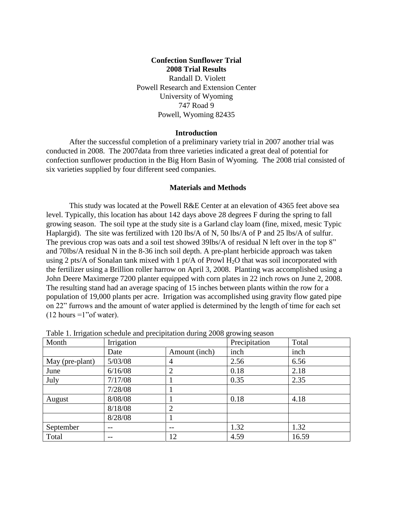## **Confection Sunflower Trial 2008 Trial Results** Randall D. Violett Powell Research and Extension Center University of Wyoming 747 Road 9 Powell, Wyoming 82435

## **Introduction**

After the successful completion of a preliminary variety trial in 2007 another trial was conducted in 2008. The 2007data from three varieties indicated a great deal of potential for confection sunflower production in the Big Horn Basin of Wyoming. The 2008 trial consisted of six varieties supplied by four different seed companies.

## **Materials and Methods**

This study was located at the Powell R&E Center at an elevation of 4365 feet above sea level. Typically, this location has about 142 days above 28 degrees F during the spring to fall growing season. The soil type at the study site is a Garland clay loam (fine, mixed, mesic Typic Haplargid). The site was fertilized with 120 lbs/A of N, 50 lbs/A of P and 25 lbs/A of sulfur. The previous crop was oats and a soil test showed 39lbs/A of residual N left over in the top 8" and 70lbs/A residual N in the 8-36 inch soil depth. A pre-plant herbicide approach was taken using 2 pts/A of Sonalan tank mixed with 1 pt/A of Prowl  $H_2O$  that was soil incorporated with the fertilizer using a Brillion roller harrow on April 3, 2008. Planting was accomplished using a John Deere Maximerge 7200 planter equipped with corn plates in 22 inch rows on June 2, 2008. The resulting stand had an average spacing of 15 inches between plants within the row for a population of 19,000 plants per acre. Irrigation was accomplished using gravity flow gated pipe on 22" furrows and the amount of water applied is determined by the length of time for each set  $(12$  hours =1"of water).

|                 | rable 1. Impactor senegate and precipitation during 2000 growing season |                |               |       |
|-----------------|-------------------------------------------------------------------------|----------------|---------------|-------|
| Month           | Irrigation                                                              |                | Precipitation | Total |
|                 | Date                                                                    | Amount (inch)  | inch          | inch  |
| May (pre-plant) | 5/03/08                                                                 | 4              | 2.56          | 6.56  |
| June            | 6/16/08                                                                 | 2              | 0.18          | 2.18  |
| July            | 7/17/08                                                                 |                | 0.35          | 2.35  |
|                 | 7/28/08                                                                 |                |               |       |
| August          | 8/08/08                                                                 |                | 0.18          | 4.18  |
|                 | 8/18/08                                                                 | $\overline{2}$ |               |       |
|                 | 8/28/08                                                                 |                |               |       |
| September       | $- -$                                                                   | --             | 1.32          | 1.32  |
| Total           | --                                                                      | 12             | 4.59          | 16.59 |

Table 1. Irrigation schedule and precipitation during 2008 growing season